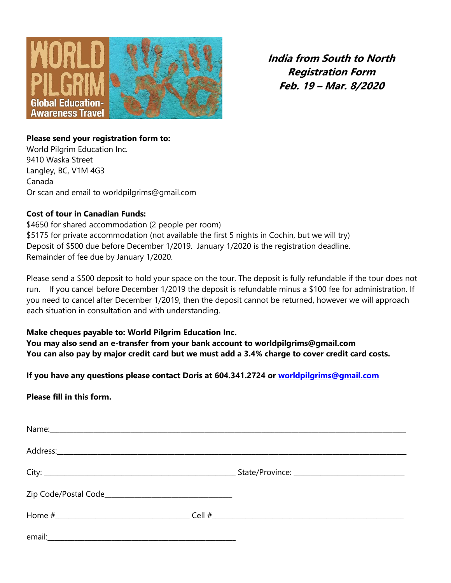

**India from South to North Registration Form Feb. 19 – Mar. 8/2020**

#### **Please send your registration form to:**

World Pilgrim Education Inc. 9410 Waska Street Langley, BC, V1M 4G3 Canada Or scan and email to worldpilgrims@gmail.com

### **Cost of tour in Canadian Funds:**

\$4650 for shared accommodation (2 people per room) \$5175 for private accommodation (not available the first 5 nights in Cochin, but we will try) Deposit of \$500 due before December 1/2019. January 1/2020 is the registration deadline. Remainder of fee due by January 1/2020.

Please send a \$500 deposit to hold your space on the tour. The deposit is fully refundable if the tour does not run. If you cancel before December 1/2019 the deposit is refundable minus a \$100 fee for administration. If you need to cancel after December 1/2019, then the deposit cannot be returned, however we will approach each situation in consultation and with understanding.

## **Make cheques payable to: World Pilgrim Education Inc.**

**You may also send an e-transfer from your bank account to worldpilgrims@gmail.com You can also pay by major credit card but we must add a 3.4% charge to cover credit card costs.**

**If you have any questions please contact Doris at 604.341.2724 or [worldpilgrims@gmail.com](mailto:worldpilgrims@gmail.com)**

## **Please fill in this form.**

| email: |  |
|--------|--|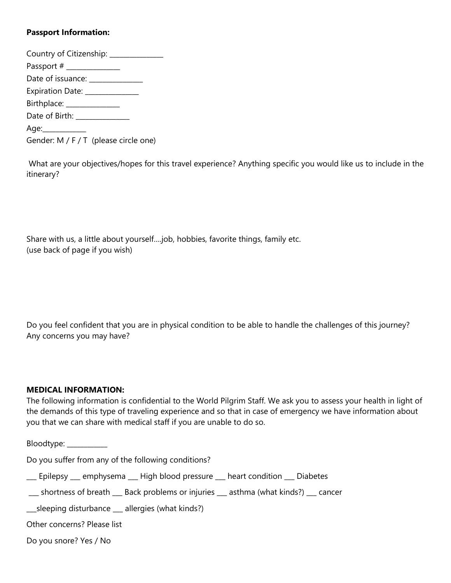## **Passport Information:**

| Country of Citizenship: ____________  |
|---------------------------------------|
| Passport # _____________              |
| Date of issuance: ______________      |
| Expiration Date: _____________        |
| Birthplace: ______________            |
| Date of Birth: _____________          |
| Age:____________                      |
| Gender: M / F / T (please circle one) |

What are your objectives/hopes for this travel experience? Anything specific you would like us to include in the itinerary?

Share with us, a little about yourself….job, hobbies, favorite things, family etc. (use back of page if you wish)

Do you feel confident that you are in physical condition to be able to handle the challenges of this journey? Any concerns you may have?

#### **MEDICAL INFORMATION:**

The following information is confidential to the World Pilgrim Staff. We ask you to assess your health in light of the demands of this type of traveling experience and so that in case of emergency we have information about you that we can share with medical staff if you are unable to do so.

Bloodtype: \_\_\_\_\_\_\_\_\_\_\_\_

Do you suffer from any of the following conditions?

\_\_\_ Epilepsy \_\_\_ emphysema \_\_\_ High blood pressure \_\_\_ heart condition \_\_\_ Diabetes

\_\_\_ shortness of breath \_\_\_ Back problems or injuries \_\_\_ asthma (what kinds?) \_\_\_ cancer

\_\_\_sleeping disturbance \_\_\_ allergies (what kinds?)

Other concerns? Please list

Do you snore? Yes / No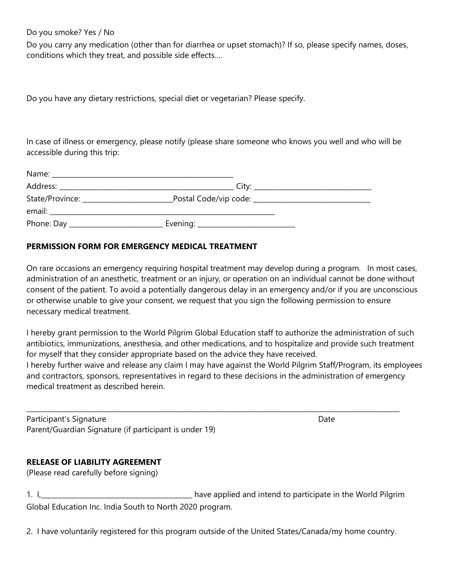#### Do you smoke? Yes / No

Do you carry any medication (other than for diarrhea or upset stomach)? If so, please specify names, doses, conditions which they treat, and possible side effects….

Do you have any dietary restrictions, special diet or vegetarian? Please specify.

In case of illness or emergency, please notify (please share someone who knows you well and who will be accessible during this trip:

| State/Province: ______________________ |                                       |  |
|----------------------------------------|---------------------------------------|--|
|                                        |                                       |  |
|                                        | _ Evening: __________________________ |  |

## **PERMISSION FORM FOR EMERGENCY MEDICAL TREATMENT**

On rare occasions an emergency requiring hospital treatment may develop during a program. In most cases, administration of an anesthetic, treatment or an injury, or operation on an individual cannot be done without consent of the patient. To avoid a potentially dangerous delay in an emergency and/or if you are unconscious or otherwise unable to give your consent, we request that you sign the following permission to ensure necessary medical treatment.

I hereby grant permission to the World Pilgrim Global Education staff to authorize the administration of such antibiotics, immunizations, anesthesia, and other medications, and to hospitalize and provide such treatment for myself that they consider appropriate based on the advice they have received. I hereby further waive and release any claim I may have against the World Pilgrim Staff/Program, its employees and contractors, sponsors, representatives in regard to these decisions in the administration of emergency medical treatment as described herein.

\_\_\_\_\_\_\_\_\_\_\_\_\_\_\_\_\_\_\_\_\_\_\_\_\_\_\_\_\_\_\_\_\_\_\_\_\_\_\_\_\_\_\_\_\_\_\_\_\_\_\_\_\_\_\_\_\_\_\_\_\_\_\_\_\_\_\_\_\_\_\_\_\_\_\_\_\_\_\_\_\_\_\_\_\_\_\_\_\_\_\_\_\_\_\_\_\_\_\_\_\_\_\_\_\_\_\_\_\_\_\_

Participant's Signature **Date of Americian Structure Date** Date Date of Americian Control of Americian Control of Date Date of Americian Control of Americian Control of Americian Control of Americian Control of Americian C Parent/Guardian Signature (if participant is under 19)

## **RELEASE OF LIABILITY AGREEMENT**

(Please read carefully before signing)

1. I, L. L. Communist Later and intend to participate in the World Pilgrim Global Education Inc. India South to North 2020 program.

2. I have voluntarily registered for this program outside of the United States/Canada/my home country.